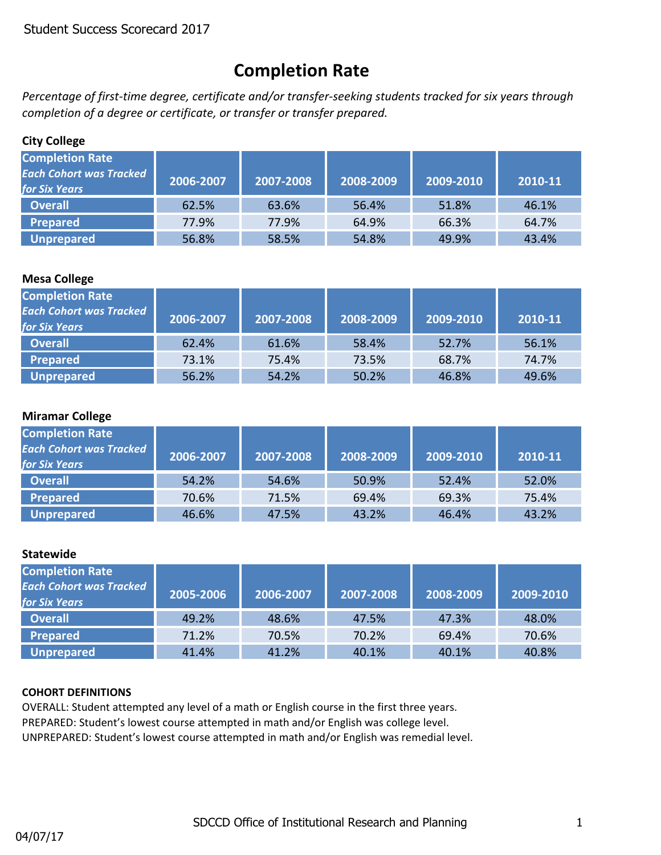## **Completion Rate**

*Percentage of first-time degree, certificate and/or transfer-seeking students tracked for six years through completion of a degree or certificate, or transfer or transfer prepared.*

## **City College**

| <b>Completion Rate</b><br><b>Each Cohort was Tracked</b><br><b>for Six Years</b> | 2006-2007 | 2007-2008 | 2008-2009 | 2009-2010 | 2010-11 |
|----------------------------------------------------------------------------------|-----------|-----------|-----------|-----------|---------|
| <b>Overall</b>                                                                   | 62.5%     | 63.6%     | 56.4%     | 51.8%     | 46.1%   |
| Prepared                                                                         | 77.9%     | 77.9%     | 64.9%     | 66.3%     | 64.7%   |
| Unprepared                                                                       | 56.8%     | 58.5%     | 54.8%     | 49.9%     | 43.4%   |

## **Mesa College**

| <b>Completion Rate</b><br><b>Each Cohort was Tracked</b><br><b>for Six Years</b> | 2006-2007 | 2007-2008 | 2008-2009 | 2009-2010 | 2010-11 |
|----------------------------------------------------------------------------------|-----------|-----------|-----------|-----------|---------|
| <b>Overall</b>                                                                   | 62.4%     | 61.6%     | 58.4%     | 52.7%     | 56.1%   |
| <b>Prepared</b>                                                                  | 73.1%     | 75.4%     | 73.5%     | 68.7%     | 74.7%   |
| Unprepared                                                                       | 56.2%     | 54.2%     | 50.2%     | 46.8%     | 49.6%   |

## **Miramar College**

| <b>Completion Rate</b><br><b>Each Cohort was Tracked</b><br><b>for Six Years</b> | 2006-2007 | 2007-2008 | 2008-2009 | 2009-2010 | 2010-11 |
|----------------------------------------------------------------------------------|-----------|-----------|-----------|-----------|---------|
| <b>Overall</b>                                                                   | 54.2%     | 54.6%     | 50.9%     | 52.4%     | 52.0%   |
| Prepared                                                                         | 70.6%     | 71.5%     | 69.4%     | 69.3%     | 75.4%   |
| <b>Unprepared</b>                                                                | 46.6%     | 47.5%     | 43.2%     | 46.4%     | 43.2%   |

## **Statewide**

| <b>Completion Rate</b><br><b>Each Cohort was Tracked</b><br><b>for Six Years</b> | 2005-2006 | 2006-2007 | 2007-2008 | 2008-2009 | 2009-2010 |
|----------------------------------------------------------------------------------|-----------|-----------|-----------|-----------|-----------|
| <b>Overall</b>                                                                   | 49.2%     | 48.6%     | 47.5%     | 47.3%     | 48.0%     |
| Prepared                                                                         | 71.2%     | 70.5%     | 70.2%     | 69.4%     | 70.6%     |
| <b>Unprepared</b>                                                                | 41.4%     | 41.2%     | 40.1%     | 40.1%     | 40.8%     |

## **COHORT DEFINITIONS**

OVERALL: Student attempted any level of a math or English course in the first three years. PREPARED: Student's lowest course attempted in math and/or English was college level. UNPREPARED: Student's lowest course attempted in math and/or English was remedial level.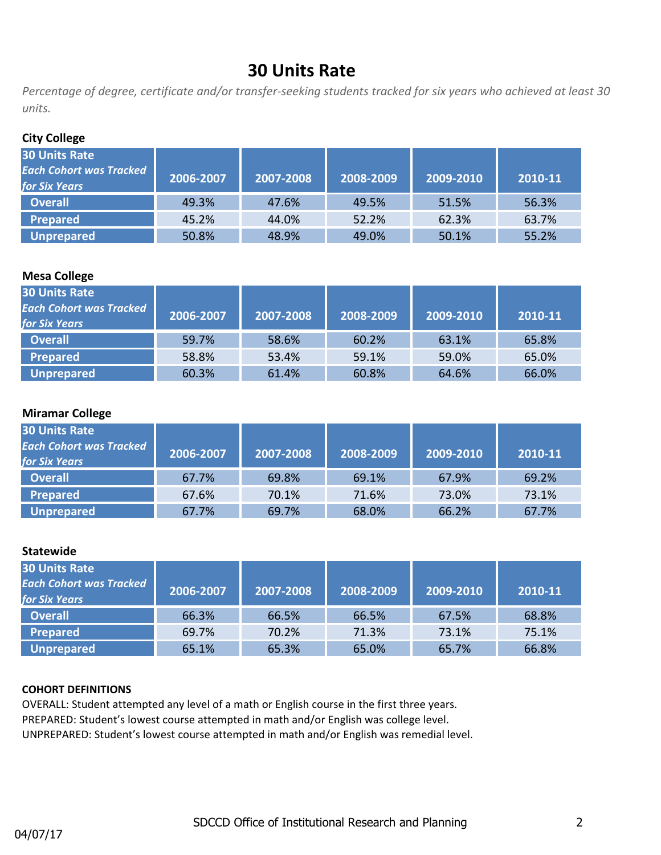## **30 Units Rate**

*Percentage of degree, certificate and/or transfer-seeking students tracked for six years who achieved at least 30 units.*

## **City College**

| <b>30 Units Rate</b>           |           |           |           |           |         |
|--------------------------------|-----------|-----------|-----------|-----------|---------|
| <b>Each Cohort was Tracked</b> | 2006-2007 | 2007-2008 | 2008-2009 | 2009-2010 | 2010-11 |
| <b>for Six Years</b>           |           |           |           |           |         |
| <b>Overall</b>                 | 49.3%     | 47.6%     | 49.5%     | 51.5%     | 56.3%   |
| <b>Prepared</b>                | 45.2%     | 44.0%     | 52.2%     | 62.3%     | 63.7%   |
| <b>Unprepared</b>              | 50.8%     | 48.9%     | 49.0%     | 50.1%     | 55.2%   |

## **Mesa College**

| <b>30 Units Rate</b><br><b>Each Cohort was Tracked</b><br><b>for Six Years</b> | 2006-2007 | 2007-2008 | 2008-2009 | 2009-2010 | 2010-11 |
|--------------------------------------------------------------------------------|-----------|-----------|-----------|-----------|---------|
| <b>Overall</b>                                                                 | 59.7%     | 58.6%     | 60.2%     | 63.1%     | 65.8%   |
| <b>Prepared</b>                                                                | 58.8%     | 53.4%     | 59.1%     | 59.0%     | 65.0%   |
| Unprepared                                                                     | 60.3%     | 61.4%     | 60.8%     | 64.6%     | 66.0%   |

#### **Miramar College**

| <b>30 Units Rate</b><br><b>Each Cohort was Tracked</b><br><b>for Six Years</b> | 2006-2007 | 2007-2008 | 2008-2009 | 2009-2010 | 2010-11 |
|--------------------------------------------------------------------------------|-----------|-----------|-----------|-----------|---------|
| <b>Overall</b>                                                                 | 67.7%     | 69.8%     | 69.1%     | 67.9%     | 69.2%   |
| Prepared                                                                       | 67.6%     | 70.1%     | 71.6%     | 73.0%     | 73.1%   |
| Unprepared                                                                     | 67.7%     | 69.7%     | 68.0%     | 66.2%     | 67.7%   |

#### **Statewide**

| <b>30 Units Rate</b><br><b>Each Cohort was Tracked</b><br><b>for Six Years</b> | 2006-2007 | 2007-2008 | 2008-2009 | 2009-2010 | 2010-11 |
|--------------------------------------------------------------------------------|-----------|-----------|-----------|-----------|---------|
| <b>Overall</b>                                                                 | 66.3%     | 66.5%     | 66.5%     | 67.5%     | 68.8%   |
| <b>Prepared</b>                                                                | 69.7%     | 70.2%     | 71.3%     | 73.1%     | 75.1%   |
| Unprepared                                                                     | 65.1%     | 65.3%     | 65.0%     | 65.7%     | 66.8%   |

#### **COHORT DEFINITIONS**

OVERALL: Student attempted any level of a math or English course in the first three years. PREPARED: Student's lowest course attempted in math and/or English was college level. UNPREPARED: Student's lowest course attempted in math and/or English was remedial level.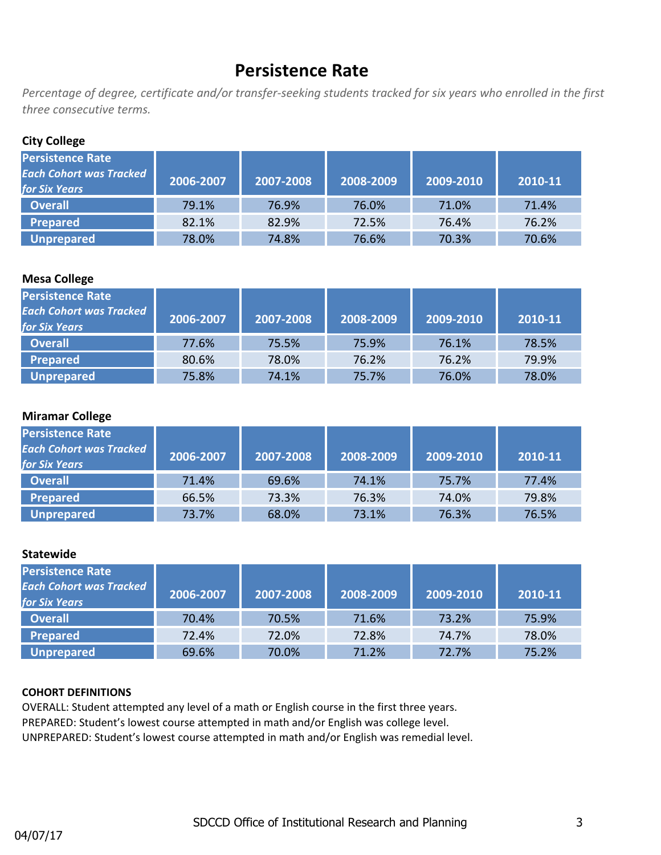## **Persistence Rate**

*Percentage of degree, certificate and/or transfer-seeking students tracked for six years who enrolled in the first three consecutive terms.*

## **City College**

| <b>Persistence Rate</b><br><b>Each Cohort was Tracked</b><br>for Six Years | 2006-2007 | 2007-2008 | 2008-2009 | 2009-2010 | 2010-11 |
|----------------------------------------------------------------------------|-----------|-----------|-----------|-----------|---------|
| <b>Overall</b>                                                             | 79.1%     | 76.9%     | 76.0%     | 71.0%     | 71.4%   |
| Prepared                                                                   | 82.1%     | 82.9%     | 72.5%     | 76.4%     | 76.2%   |
| <b>Unprepared</b>                                                          | 78.0%     | 74.8%     | 76.6%     | 70.3%     | 70.6%   |

## **Mesa College**

| Persistence Rate<br><b>Each Cohort was Tracked</b><br><b>for Six Years</b> | 2006-2007 | 2007-2008 | 2008-2009 | 2009-2010 | 2010-11 |
|----------------------------------------------------------------------------|-----------|-----------|-----------|-----------|---------|
| <b>Overall</b>                                                             | 77.6%     | 75.5%     | 75.9%     | 76.1%     | 78.5%   |
| <b>Prepared</b>                                                            | 80.6%     | 78.0%     | 76.2%     | 76.2%     | 79.9%   |
| <b>Unprepared</b>                                                          | 75.8%     | 74.1%     | 75.7%     | 76.0%     | 78.0%   |

## **Miramar College**

| <b>Persistence Rate</b><br><b>Each Cohort was Tracked</b><br><b>for Six Years</b> | 2006-2007 | 2007-2008 | 2008-2009 | 2009-2010 | 2010-11 |
|-----------------------------------------------------------------------------------|-----------|-----------|-----------|-----------|---------|
| <b>Overall</b>                                                                    | 71.4%     | 69.6%     | 74.1%     | 75.7%     | 77.4%   |
| Prepared                                                                          | 66.5%     | 73.3%     | 76.3%     | 74.0%     | 79.8%   |
| Unprepared                                                                        | 73.7%     | 68.0%     | 73.1%     | 76.3%     | 76.5%   |

## **Statewide**

| Persistence Rate<br><b>Each Cohort was Tracked</b><br><b>for Six Years</b> | 2006-2007 | 2007-2008 | 2008-2009 | 2009-2010 | 2010-11 |
|----------------------------------------------------------------------------|-----------|-----------|-----------|-----------|---------|
| <b>Overall</b>                                                             | 70.4%     | 70.5%     | 71.6%     | 73.2%     | 75.9%   |
| <b>Prepared</b>                                                            | 72.4%     | 72.0%     | 72.8%     | 74.7%     | 78.0%   |
| Unprepared                                                                 | 69.6%     | 70.0%     | 71.2%     | 72.7%     | 75.2%   |

## **COHORT DEFINITIONS**

OVERALL: Student attempted any level of a math or English course in the first three years. PREPARED: Student's lowest course attempted in math and/or English was college level. UNPREPARED: Student's lowest course attempted in math and/or English was remedial level.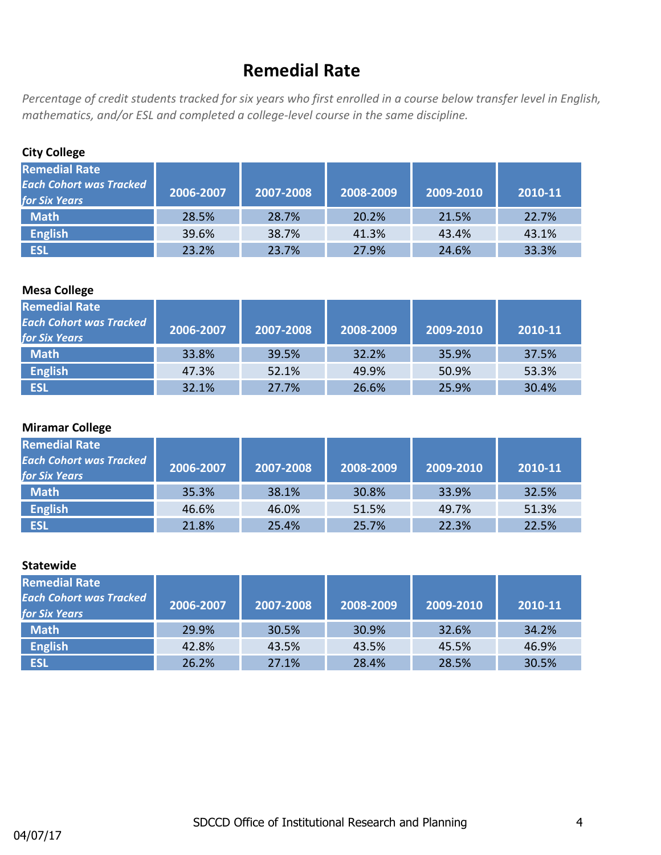## **Remedial Rate**

*Percentage of credit students tracked for six years who first enrolled in a course below transfer level in English, mathematics, and/or ESL and completed a college-level course in the same discipline.*

| <b>City College</b>                                                            |           |           |           |           |         |  |  |
|--------------------------------------------------------------------------------|-----------|-----------|-----------|-----------|---------|--|--|
| <b>Remedial Rate</b><br><b>Each Cohort was Tracked</b><br><b>for Six Years</b> | 2006-2007 | 2007-2008 | 2008-2009 | 2009-2010 | 2010-11 |  |  |
| <b>Math</b>                                                                    | 28.5%     | 28.7%     | 20.2%     | 21.5%     | 22.7%   |  |  |
| <b>English</b>                                                                 | 39.6%     | 38.7%     | 41.3%     | 43.4%     | 43.1%   |  |  |
| <b>ESL</b>                                                                     | 23.2%     | 23.7%     | 27.9%     | 24.6%     | 33.3%   |  |  |

## **Mesa College**

| <b>Remedial Rate</b><br><b>Each Cohort was Tracked</b><br><b>for Six Years</b> | 2006-2007 | 2007-2008 | 2008-2009 | 2009-2010 | 2010-11 |
|--------------------------------------------------------------------------------|-----------|-----------|-----------|-----------|---------|
| <b>Math</b>                                                                    | 33.8%     | 39.5%     | 32.2%     | 35.9%     | 37.5%   |
| <b>English</b>                                                                 | 47.3%     | 52.1%     | 49.9%     | 50.9%     | 53.3%   |
| <b>ESL</b>                                                                     | 32.1%     | 27.7%     | 26.6%     | 25.9%     | 30.4%   |

## **Miramar College**

| <b>Remedial Rate</b><br><b>Each Cohort was Tracked</b><br><b>for Six Years</b> | 2006-2007 | 2007-2008 | 2008-2009 | 2009-2010 | 2010-11 |
|--------------------------------------------------------------------------------|-----------|-----------|-----------|-----------|---------|
| <b>Math</b>                                                                    | 35.3%     | 38.1%     | 30.8%     | 33.9%     | 32.5%   |
| <b>English</b>                                                                 | 46.6%     | 46.0%     | 51.5%     | 49.7%     | 51.3%   |
| <b>ESL</b>                                                                     | 21.8%     | 25.4%     | 25.7%     | 22.3%     | 22.5%   |

| <b>Remedial Rate</b><br><b>Each Cohort was Tracked</b><br>for Six Years | 2006-2007 | 2007-2008 | 2008-2009 | 2009-2010 | 2010-11 |
|-------------------------------------------------------------------------|-----------|-----------|-----------|-----------|---------|
| <b>Math</b>                                                             | 29.9%     | 30.5%     | 30.9%     | 32.6%     | 34.2%   |
| <b>English</b>                                                          | 42.8%     | 43.5%     | 43.5%     | 45.5%     | 46.9%   |
| <b>ESL</b>                                                              | 26.2%     | 27.1%     | 28.4%     | 28.5%     | 30.5%   |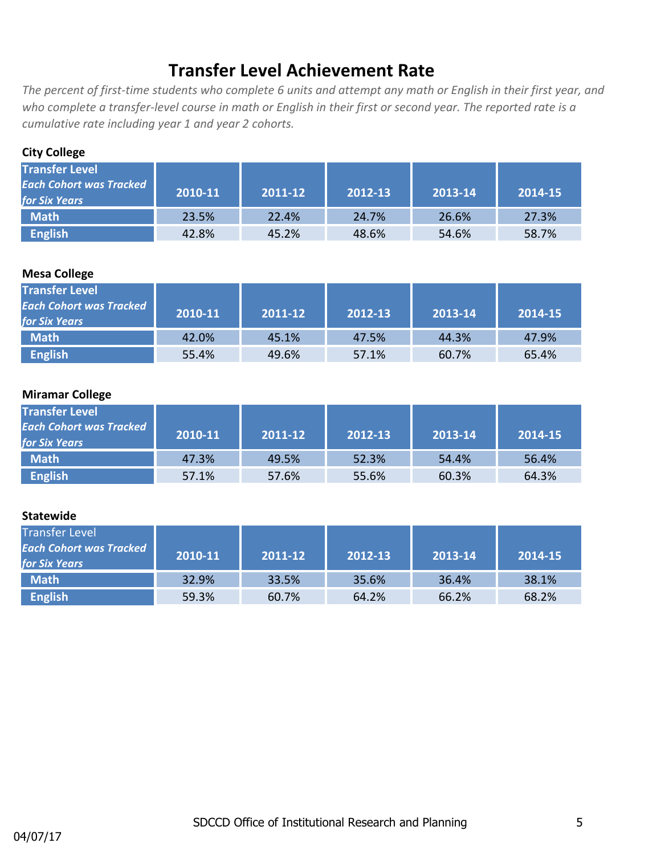## **Transfer Level Achievement Rate**

*The percent of first-time students who complete 6 units and attempt any math or English in their first year, and who complete a transfer-level course in math or English in their first or second year. The reported rate is a cumulative rate including year 1 and year 2 cohorts.*

## **City College**

| <b>Transfer Level</b>          |         |         |         |         |         |
|--------------------------------|---------|---------|---------|---------|---------|
| <b>Each Cohort was Tracked</b> | 2010-11 | 2011-12 | 2012-13 | 2013-14 | 2014-15 |
| <b>for Six Years</b>           |         |         |         |         |         |
| <b>Math</b>                    | 23.5%   | 22.4%   | 24.7%   | 26.6%   | 27.3%   |
| <b>English</b>                 | 42.8%   | 45.2%   | 48.6%   | 54.6%   | 58.7%   |

#### **Mesa College**

| <b>Transfer Level</b><br><b>Each Cohort was Tracked</b><br><b>for Six Years</b> | 2010-11 | 2011-12 | 2012-13 | 2013-14 | 2014-15 |
|---------------------------------------------------------------------------------|---------|---------|---------|---------|---------|
| <b>Math</b>                                                                     | 42.0%   | 45.1%   | 47.5%   | 44.3%   | 47.9%   |
| <b>English</b>                                                                  | 55.4%   | 49.6%   | 57.1%   | 60.7%   | 65.4%   |

#### **Miramar College**

| <b>Transfer Level</b><br><b>Each Cohort was Tracked</b><br><b>for Six Years</b> | 2010-11 | 2011-12 | 2012-13 | 2013-14 | 2014-15 |
|---------------------------------------------------------------------------------|---------|---------|---------|---------|---------|
| Math <sup>1</sup>                                                               | 47.3%   | 49.5%   | 52.3%   | 54.4%   | 56.4%   |
| <b>English</b>                                                                  | 57.1%   | 57.6%   | 55.6%   | 60.3%   | 64.3%   |

| <b>Transfer Level</b><br><b>Each Cohort was Tracked</b><br><b>for Six Years</b> | 2010-11 | 2011-12 | 2012-13 | 2013-14 | 2014-15 |
|---------------------------------------------------------------------------------|---------|---------|---------|---------|---------|
| <b>Math</b>                                                                     | 32.9%   | 33.5%   | 35.6%   | 36.4%   | 38.1%   |
| <b>English</b>                                                                  | 59.3%   | 60.7%   | 64.2%   | 66.2%   | 68.2%   |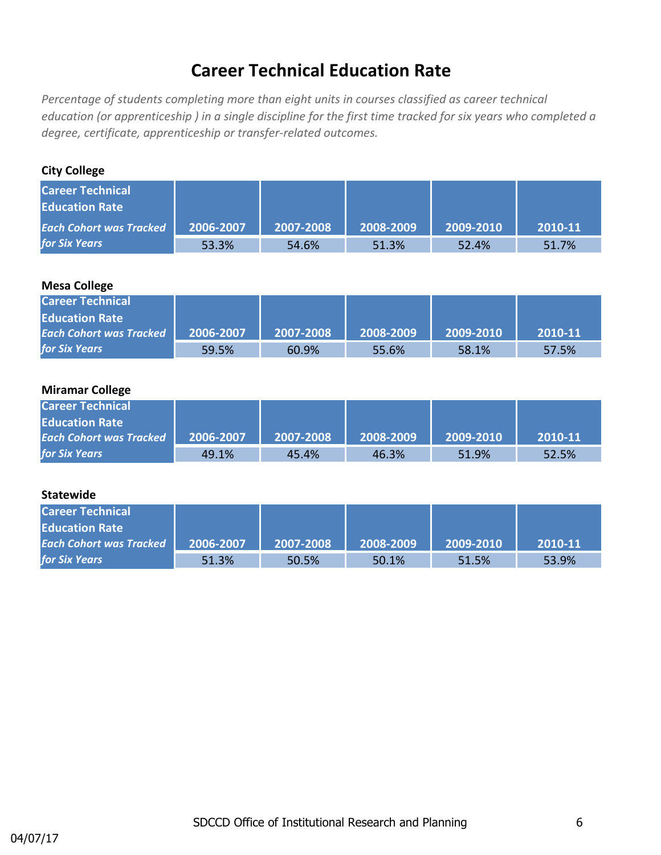## **Career Technical Education Rate**

*Percentage of students completing more than eight units in courses classified as career technical education (or apprenticeship ) in a single discipline for the first time tracked for six years who completed a degree, certificate, apprenticeship or transfer-related outcomes.*

## **City College**

| <b>Career Technical</b><br><b>Education Rate</b> |           |           |           |           |         |
|--------------------------------------------------|-----------|-----------|-----------|-----------|---------|
| <b>Each Cohort was Tracked</b>                   | 2006-2007 | 2007-2008 | 2008-2009 | 2009-2010 | 2010-11 |
| <b>for Six Years</b>                             | 53.3%     | 54.6%     | 51.3%     | 52.4%     | 51.7%   |

## **Mesa College**

| <b>Career Technical</b>        |           |           |           |           |         |
|--------------------------------|-----------|-----------|-----------|-----------|---------|
| <b>Education Rate</b>          |           |           |           |           |         |
| <b>Each Cohort was Tracked</b> | 2006-2007 | 2007-2008 | 2008-2009 | 2009-2010 | 2010-11 |
| <b>for Six Years</b>           | 59.5%     | 60.9%     | 55.6%     | 58.1%     | 57.5%   |

#### **Miramar College**

| <b>Career Technical</b>        |           |           |           |           |         |
|--------------------------------|-----------|-----------|-----------|-----------|---------|
| <b>Education Rate</b>          |           |           |           |           |         |
| <b>Each Cohort was Tracked</b> | 2006-2007 | 2007-2008 | 2008-2009 | 2009-2010 | 2010-11 |
| <b>for Six Years</b>           | 49.1%     | 45.4%     | 46.3%     | 51.9%     | 52.5%   |

| <b>Career Technical</b>        |           |           |           |           |         |
|--------------------------------|-----------|-----------|-----------|-----------|---------|
| <b>Education Rate</b>          |           |           |           |           |         |
| <b>Each Cohort was Tracked</b> | 2006-2007 | 2007-2008 | 2008-2009 | 2009-2010 | 2010-11 |
| <b>for Six Years</b>           | 51.3%     | 50.5%     | 50.1%     | 51.5%     | 53.9%   |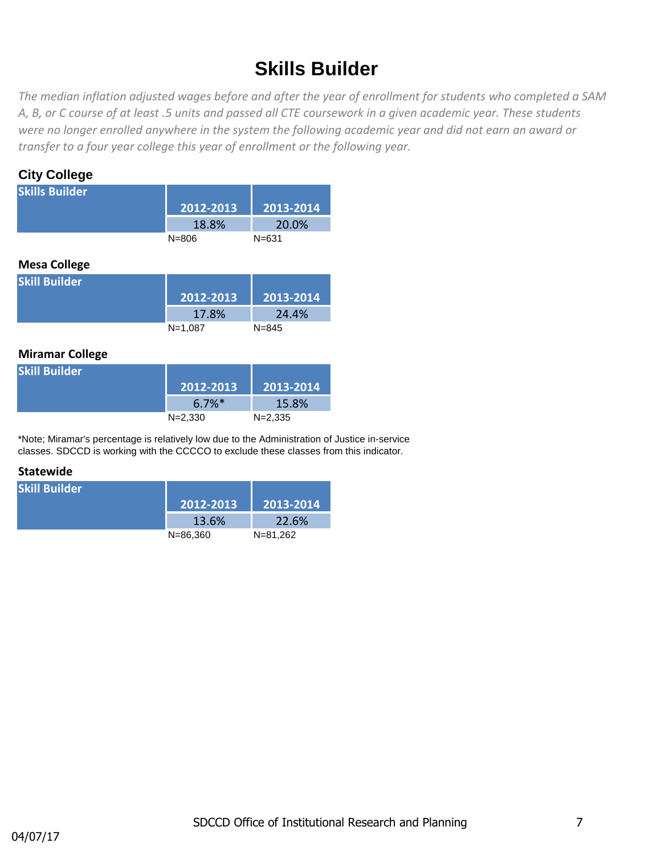# **Skills Builder**

*The median inflation adjusted wages before and after the year of enrollment for students who completed a SAM A, B, or C course of at least .5 units and passed all CTE coursework in a given academic year. These students were no longer enrolled anywhere in the system the following academic year and did not earn an award or transfer to a four year college this year of enrollment or the following year.* 

## **City College**

| <b>Skills Builder</b> |           |           |
|-----------------------|-----------|-----------|
|                       | 2012-2013 | 2013-2014 |
|                       | 18.8%     | 20.0%     |
|                       | $N = 806$ | $N = 631$ |
|                       |           |           |
| <b>Mesa College</b>   |           |           |
| <b>Skill Builder</b>  |           |           |
|                       | 2012-2013 | 2013-2014 |

## **Miramar College**

| <b>Skill Builder</b> |                      |             |
|----------------------|----------------------|-------------|
|                      | $2012 - 2013$        | 2013-2014   |
|                      | $6.7\%$ <sup>*</sup> | 15.8%       |
|                      | $N = 2.330$          | $N = 2.335$ |

\*Note; Miramar's percentage is relatively low due to the Administration of Justice in-service classes. SDCCD is working with the CCCCO to exclude these classes from this indicator.

N=1,087 N=845

| <b>Skill Builder</b> |              |           |
|----------------------|--------------|-----------|
|                      | 2012-2013    | 2013-2014 |
|                      | 13.6%        | 22.6%     |
|                      | $N = 86.360$ | N=81.262  |